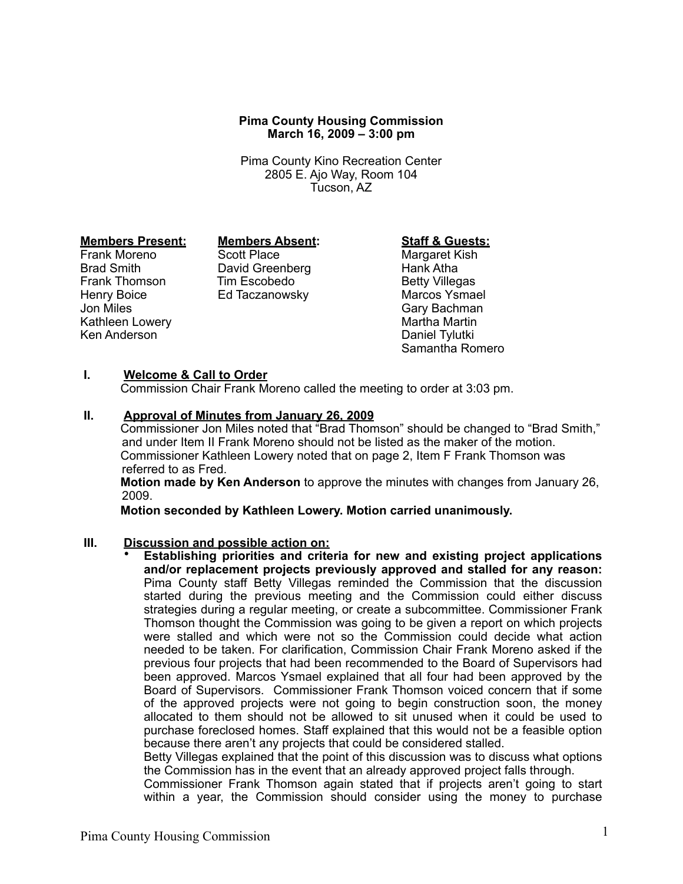## **Pima County Housing Commission March 16, 2009 – 3:00 pm**

Pima County Kino Recreation Center 2805 E. Ajo Way, Room 104 Tucson, AZ

Henry Boice Ed Taczanowsky<br>Jon Miles Kathleen Lowery **Martha Martha Martha Martin**<br>Ken Anderson Martha Martha Martha Martha Martha Martha Martha Martha Martha Martha Martha Martha Martha Martha<br>Martha Martha Martha Martha Martha Martha Martha Martha Martha Ma Ken Anderson

**Members Present: Members Absent: Staff & Guests:**<br>
Frank Moreno Scott Place **Manual Scott Place** Margaret Kish Brad Smith David Greenberg Hank Atha Frank Thomson Tim Escobedo<br>
Henry Boice Ed Taczanowsky Marcos Ysmael

Margaret Kish Gary Bachman Samantha Romero

## **I. Welcome & Call to Order**

Commission Chair Frank Moreno called the meeting to order at 3:03 pm.

### **II. Approval of Minutes from January 26, 2009**

Commissioner Jon Miles noted that "Brad Thomson" should be changed to "Brad Smith," and under Item II Frank Moreno should not be listed as the maker of the motion. Commissioner Kathleen Lowery noted that on page 2, Item F Frank Thomson was referred to as Fred.

**Motion made by Ken Anderson** to approve the minutes with changes from January 26, 2009.

**Motion seconded by Kathleen Lowery. Motion carried unanimously.**

## **III. Discussion and possible action on:**

• **Establishing priorities and criteria for new and existing project applications and/or replacement projects previously approved and stalled for any reason:**  Pima County staff Betty Villegas reminded the Commission that the discussion started during the previous meeting and the Commission could either discuss strategies during a regular meeting, or create a subcommittee. Commissioner Frank Thomson thought the Commission was going to be given a report on which projects were stalled and which were not so the Commission could decide what action needed to be taken. For clarification, Commission Chair Frank Moreno asked if the previous four projects that had been recommended to the Board of Supervisors had been approved. Marcos Ysmael explained that all four had been approved by the Board of Supervisors. Commissioner Frank Thomson voiced concern that if some of the approved projects were not going to begin construction soon, the money allocated to them should not be allowed to sit unused when it could be used to purchase foreclosed homes. Staff explained that this would not be a feasible option because there aren't any projects that could be considered stalled.

Betty Villegas explained that the point of this discussion was to discuss what options the Commission has in the event that an already approved project falls through.

Commissioner Frank Thomson again stated that if projects aren't going to start within a year, the Commission should consider using the money to purchase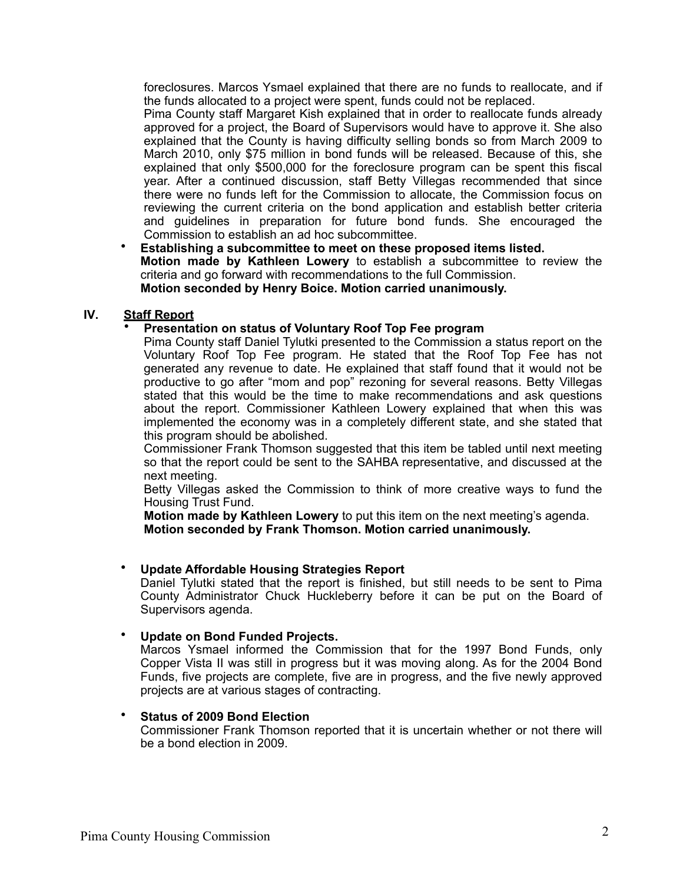foreclosures. Marcos Ysmael explained that there are no funds to reallocate, and if the funds allocated to a project were spent, funds could not be replaced.

Pima County staff Margaret Kish explained that in order to reallocate funds already approved for a project, the Board of Supervisors would have to approve it. She also explained that the County is having difficulty selling bonds so from March 2009 to March 2010, only \$75 million in bond funds will be released. Because of this, she explained that only \$500,000 for the foreclosure program can be spent this fiscal year. After a continued discussion, staff Betty Villegas recommended that since there were no funds left for the Commission to allocate, the Commission focus on reviewing the current criteria on the bond application and establish better criteria and guidelines in preparation for future bond funds. She encouraged the Commission to establish an ad hoc subcommittee.

• **Establishing a subcommittee to meet on these proposed items listed. Motion made by Kathleen Lowery** to establish a subcommittee to review the criteria and go forward with recommendations to the full Commission. **Motion seconded by Henry Boice. Motion carried unanimously.** 

# **IV. Staff Report**

## • **Presentation on status of Voluntary Roof Top Fee program**

Pima County staff Daniel Tylutki presented to the Commission a status report on the Voluntary Roof Top Fee program. He stated that the Roof Top Fee has not generated any revenue to date. He explained that staff found that it would not be productive to go after "mom and pop" rezoning for several reasons. Betty Villegas stated that this would be the time to make recommendations and ask questions about the report. Commissioner Kathleen Lowery explained that when this was implemented the economy was in a completely different state, and she stated that this program should be abolished.

Commissioner Frank Thomson suggested that this item be tabled until next meeting so that the report could be sent to the SAHBA representative, and discussed at the next meeting.

Betty Villegas asked the Commission to think of more creative ways to fund the Housing Trust Fund.

**Motion made by Kathleen Lowery** to put this item on the next meeting's agenda. **Motion seconded by Frank Thomson. Motion carried unanimously.**

## • **Update Affordable Housing Strategies Report**

Daniel Tylutki stated that the report is finished, but still needs to be sent to Pima County Administrator Chuck Huckleberry before it can be put on the Board of Supervisors agenda.

# • **Update on Bond Funded Projects.**

Marcos Ysmael informed the Commission that for the 1997 Bond Funds, only Copper Vista II was still in progress but it was moving along. As for the 2004 Bond Funds, five projects are complete, five are in progress, and the five newly approved projects are at various stages of contracting.

## • **Status of 2009 Bond Election**

Commissioner Frank Thomson reported that it is uncertain whether or not there will be a bond election in 2009.